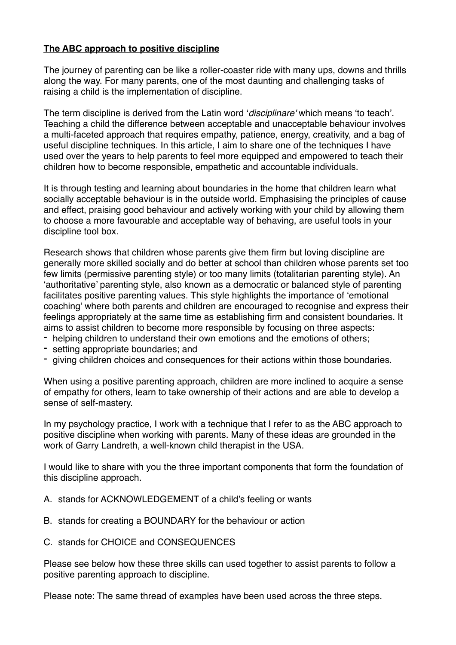## **The ABC approach to positive discipline**

The journey of parenting can be like a roller-coaster ride with many ups, downs and thrills along the way. For many parents, one of the most daunting and challenging tasks of raising a child is the implementation of discipline.

The term discipline is derived from the Latin word '*disciplinare'* which means 'to teach'. Teaching a child the difference between acceptable and unacceptable behaviour involves a multi-faceted approach that requires empathy, patience, energy, creativity, and a bag of useful discipline techniques. In this article, I aim to share one of the techniques I have used over the years to help parents to feel more equipped and empowered to teach their children how to become responsible, empathetic and accountable individuals.

It is through testing and learning about boundaries in the home that children learn what socially acceptable behaviour is in the outside world. Emphasising the principles of cause and effect, praising good behaviour and actively working with your child by allowing them to choose a more favourable and acceptable way of behaving, are useful tools in your discipline tool box.

Research shows that children whose parents give them firm but loving discipline are generally more skilled socially and do better at school than children whose parents set too few limits (permissive parenting style) or too many limits (totalitarian parenting style). An 'authoritative' parenting style, also known as a democratic or balanced style of parenting facilitates positive parenting values. This style highlights the importance of 'emotional coaching' where both parents and children are encouraged to recognise and express their feelings appropriately at the same time as establishing firm and consistent boundaries. It aims to assist children to become more responsible by focusing on three aspects:

- helping children to understand their own emotions and the emotions of others;
- setting appropriate boundaries; and
- giving children choices and consequences for their actions within those boundaries.

When using a positive parenting approach, children are more inclined to acquire a sense of empathy for others, learn to take ownership of their actions and are able to develop a sense of self-mastery.

In my psychology practice, I work with a technique that I refer to as the ABC approach to positive discipline when working with parents. Many of these ideas are grounded in the work of Garry Landreth, a well-known child therapist in the USA.

I would like to share with you the three important components that form the foundation of this discipline approach.

- A. stands for ACKNOWLEDGEMENT of a child's feeling or wants
- B. stands for creating a BOUNDARY for the behaviour or action
- C. stands for CHOICE and CONSEQUENCES

Please see below how these three skills can used together to assist parents to follow a positive parenting approach to discipline.

Please note: The same thread of examples have been used across the three steps.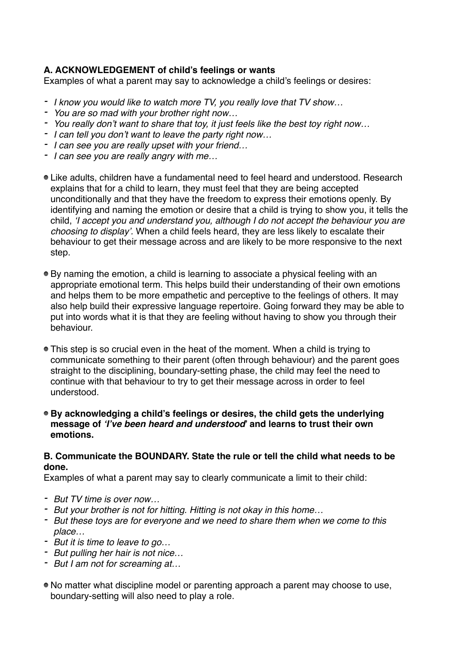# **A. ACKNOWLEDGEMENT of child's feelings or wants**

Examples of what a parent may say to acknowledge a child's feelings or desires:

- *- I know you would like to watch more TV, you really love that TV show…*
- *- You are so mad with your brother right now…*
- *- You really don't want to share that toy, it just feels like the best toy right now…*
- *- I can tell you don't want to leave the party right now…*
- *- I can see you are really upset with your friend…*
- *- I can see you are really angry with me…*
- Like adults, children have a fundamental need to feel heard and understood. Research explains that for a child to learn, they must feel that they are being accepted unconditionally and that they have the freedom to express their emotions openly. By identifying and naming the emotion or desire that a child is trying to show you, it tells the child, *'I accept you and understand you, although I do not accept the behaviour you are choosing to display'.* When a child feels heard, they are less likely to escalate their behaviour to get their message across and are likely to be more responsive to the next step.
- By naming the emotion, a child is learning to associate a physical feeling with an appropriate emotional term. This helps build their understanding of their own emotions and helps them to be more empathetic and perceptive to the feelings of others. It may also help build their expressive language repertoire. Going forward they may be able to put into words what it is that they are feeling without having to show you through their behaviour.
- This step is so crucial even in the heat of the moment. When a child is trying to communicate something to their parent (often through behaviour) and the parent goes straight to the disciplining, boundary-setting phase, the child may feel the need to continue with that behaviour to try to get their message across in order to feel understood.
- **By acknowledging a child's feelings or desires, the child gets the underlying message of** *'I've been heard and understood***' and learns to trust their own emotions.**

#### **B. Communicate the BOUNDARY. State the rule or tell the child what needs to be done.**

Examples of what a parent may say to clearly communicate a limit to their child:

- *- But TV time is over now…*
- *- But your brother is not for hitting. Hitting is not okay in this home…*
- *- But these toys are for everyone and we need to share them when we come to this place…*
- *- But it is time to leave to go…*
- *- But pulling her hair is not nice…*
- *- But I am not for screaming at…*
- No matter what discipline model or parenting approach a parent may choose to use, boundary-setting will also need to play a role.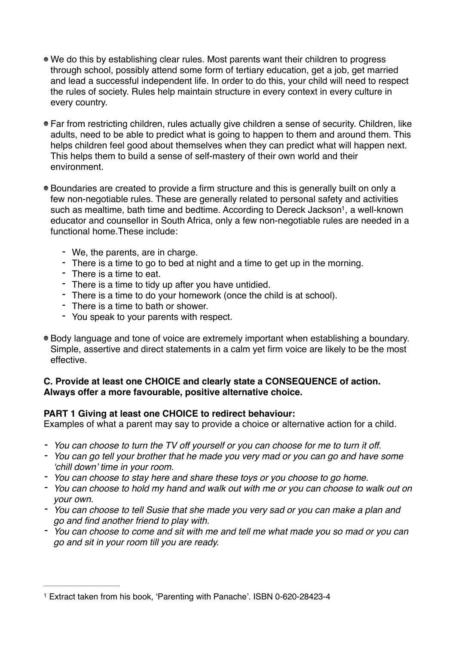- We do this by establishing clear rules. Most parents want their children to progress through school, possibly attend some form of tertiary education, get a job, get married and lead a successful independent life. In order to do this, your child will need to respect the rules of society. Rules help maintain structure in every context in every culture in every country.
- Far from restricting children, rules actually give children a sense of security. Children, like adults, need to be able to predict what is going to happen to them and around them. This helps children feel good about themselves when they can predict what will happen next. This helps them to build a sense of self-mastery of their own world and their environment.
- <span id="page-2-1"></span>Boundaries are created to provide a firm structure and this is generally built on only a few non-negotiable rules. These are generally related to personal safety and activities such as mealtime[,](#page-2-0) bath time and bedtime. According to Dereck Jackson<sup>[1](#page-2-0)</sup>, a well-known educator and counsellor in South Africa, only a few non-negotiable rules are needed in a functional home.These include:
	- We, the parents, are in charge.
	- There is a time to go to bed at night and a time to get up in the morning.
	- There is a time to eat.
	- There is a time to tidy up after you have untidied.
	- There is a time to do your homework (once the child is at school).
	- There is a time to bath or shower.
	- You speak to your parents with respect.
- Body language and tone of voice are extremely important when establishing a boundary. Simple, assertive and direct statements in a calm yet firm voice are likely to be the most effective.

### **C. Provide at least one CHOICE and clearly state a CONSEQUENCE of action. Always offer a more favourable, positive alternative choice.**

### **PART 1 Giving at least one CHOICE to redirect behaviour:**

Examples of what a parent may say to provide a choice or alternative action for a child.

- *- You can choose to turn the TV off yourself or you can choose for me to turn it off.*
- *- You can go tell your brother that he made you very mad or you can go and have some 'chill down' time in your room.*
- *- You can choose to stay here and share these toys or you choose to go home.*
- *- You can choose to hold my hand and walk out with me or you can choose to walk out on your own.*
- *- You can choose to tell Susie that she made you very sad or you can make a plan and go and find another friend to play with.*
- *- You can choose to come and sit with me and tell me what made you so mad or you can go and sit in your room till you are ready.*

<span id="page-2-0"></span>[<sup>1</sup>](#page-2-1) Extract taken from his book, 'Parenting with Panache'. ISBN 0-620-28423-4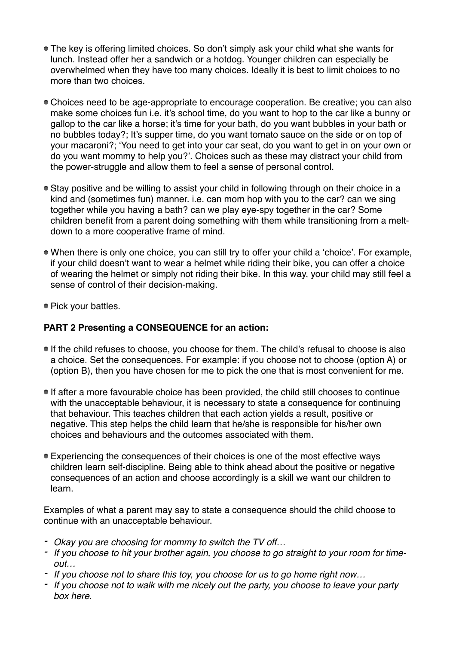- The key is offering limited choices. So don't simply ask your child what she wants for lunch. Instead offer her a sandwich or a hotdog. Younger children can especially be overwhelmed when they have too many choices. Ideally it is best to limit choices to no more than two choices.
- Choices need to be age-appropriate to encourage cooperation. Be creative; you can also make some choices fun i.e. it's school time, do you want to hop to the car like a bunny or gallop to the car like a horse; it's time for your bath, do you want bubbles in your bath or no bubbles today?; It's supper time, do you want tomato sauce on the side or on top of your macaroni?; 'You need to get into your car seat, do you want to get in on your own or do you want mommy to help you?'. Choices such as these may distract your child from the power-struggle and allow them to feel a sense of personal control.
- Stay positive and be willing to assist your child in following through on their choice in a kind and (sometimes fun) manner. i.e. can mom hop with you to the car? can we sing together while you having a bath? can we play eye-spy together in the car? Some children benefit from a parent doing something with them while transitioning from a meltdown to a more cooperative frame of mind.
- When there is only one choice, you can still try to offer your child a 'choice'. For example, if your child doesn't want to wear a helmet while riding their bike, you can offer a choice of wearing the helmet or simply not riding their bike. In this way, your child may still feel a sense of control of their decision-making.
- Pick your battles.

# **PART 2 Presenting a CONSEQUENCE for an action:**

- If the child refuses to choose, you choose for them. The child's refusal to choose is also a choice. Set the consequences. For example: if you choose not to choose (option A) or (option B), then you have chosen for me to pick the one that is most convenient for me.
- If after a more favourable choice has been provided, the child still chooses to continue with the unacceptable behaviour, it is necessary to state a consequence for continuing that behaviour. This teaches children that each action yields a result, positive or negative. This step helps the child learn that he/she is responsible for his/her own choices and behaviours and the outcomes associated with them.
- Experiencing the consequences of their choices is one of the most effective ways children learn self-discipline. Being able to think ahead about the positive or negative consequences of an action and choose accordingly is a skill we want our children to learn.

Examples of what a parent may say to state a consequence should the child choose to continue with an unacceptable behaviour.

- *- Okay you are choosing for mommy to switch the TV off…*
- *- If you choose to hit your brother again, you choose to go straight to your room for timeout…*
- *- If you choose not to share this toy, you choose for us to go home right now…*
- *- If you choose not to walk with me nicely out the party, you choose to leave your party box here.*